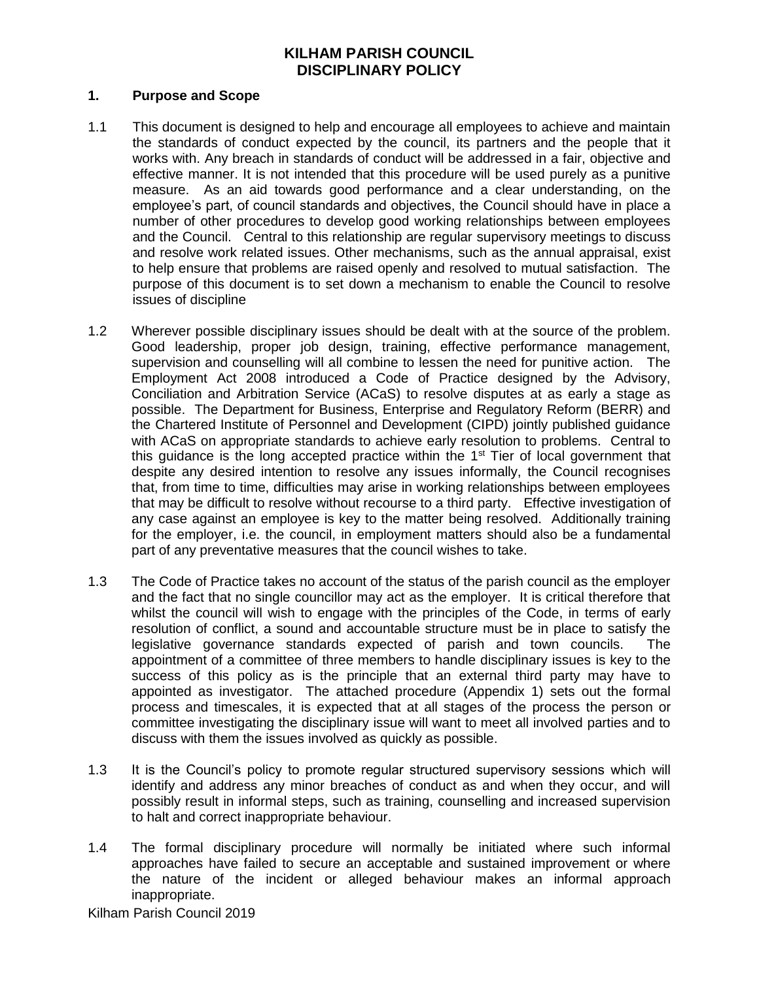## **1. Purpose and Scope**

- 1.1 This document is designed to help and encourage all employees to achieve and maintain the standards of conduct expected by the council, its partners and the people that it works with. Any breach in standards of conduct will be addressed in a fair, objective and effective manner. It is not intended that this procedure will be used purely as a punitive measure. As an aid towards good performance and a clear understanding, on the employee's part, of council standards and objectives, the Council should have in place a number of other procedures to develop good working relationships between employees and the Council. Central to this relationship are regular supervisory meetings to discuss and resolve work related issues. Other mechanisms, such as the annual appraisal, exist to help ensure that problems are raised openly and resolved to mutual satisfaction. The purpose of this document is to set down a mechanism to enable the Council to resolve issues of discipline
- 1.2 Wherever possible disciplinary issues should be dealt with at the source of the problem. Good leadership, proper job design, training, effective performance management, supervision and counselling will all combine to lessen the need for punitive action. The Employment Act 2008 introduced a Code of Practice designed by the Advisory, Conciliation and Arbitration Service (ACaS) to resolve disputes at as early a stage as possible. The Department for Business, Enterprise and Regulatory Reform (BERR) and the Chartered Institute of Personnel and Development (CIPD) jointly published guidance with ACaS on appropriate standards to achieve early resolution to problems. Central to this guidance is the long accepted practice within the  $1<sup>st</sup>$  Tier of local government that despite any desired intention to resolve any issues informally, the Council recognises that, from time to time, difficulties may arise in working relationships between employees that may be difficult to resolve without recourse to a third party. Effective investigation of any case against an employee is key to the matter being resolved. Additionally training for the employer, i.e. the council, in employment matters should also be a fundamental part of any preventative measures that the council wishes to take.
- 1.3 The Code of Practice takes no account of the status of the parish council as the employer and the fact that no single councillor may act as the employer. It is critical therefore that whilst the council will wish to engage with the principles of the Code, in terms of early resolution of conflict, a sound and accountable structure must be in place to satisfy the legislative governance standards expected of parish and town councils. The appointment of a committee of three members to handle disciplinary issues is key to the success of this policy as is the principle that an external third party may have to appointed as investigator. The attached procedure (Appendix 1) sets out the formal process and timescales, it is expected that at all stages of the process the person or committee investigating the disciplinary issue will want to meet all involved parties and to discuss with them the issues involved as quickly as possible.
- 1.3 It is the Council's policy to promote regular structured supervisory sessions which will identify and address any minor breaches of conduct as and when they occur, and will possibly result in informal steps, such as training, counselling and increased supervision to halt and correct inappropriate behaviour.
- 1.4 The formal disciplinary procedure will normally be initiated where such informal approaches have failed to secure an acceptable and sustained improvement or where the nature of the incident or alleged behaviour makes an informal approach inappropriate.

Kilham Parish Council 2019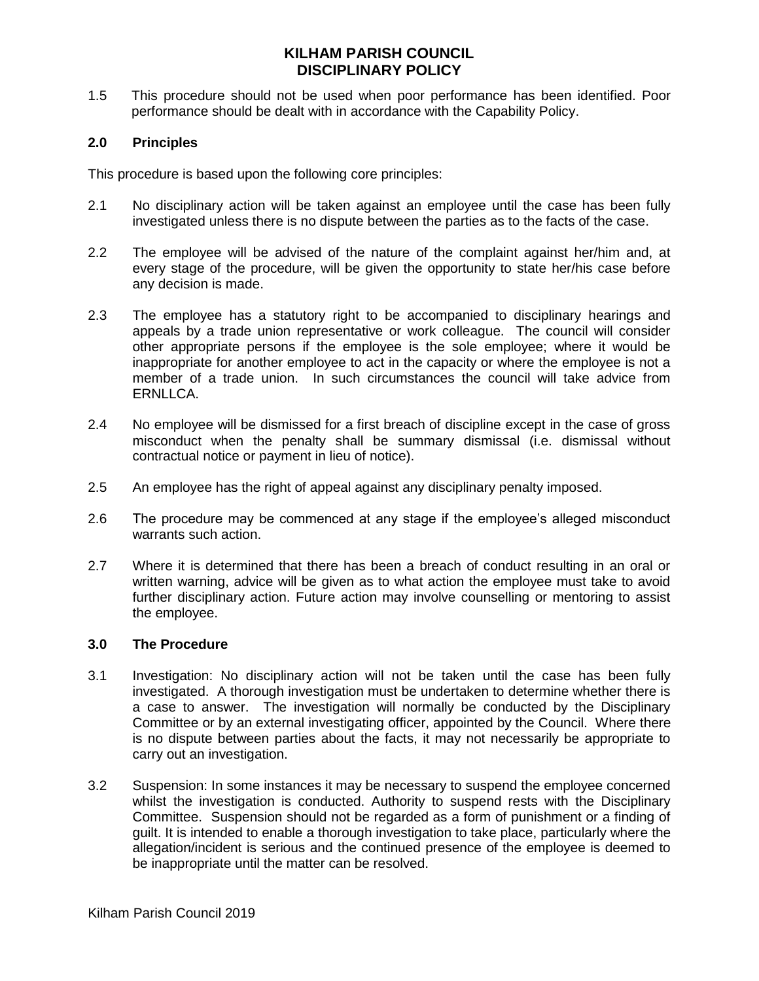1.5 This procedure should not be used when poor performance has been identified. Poor performance should be dealt with in accordance with the Capability Policy.

## **2.0 Principles**

This procedure is based upon the following core principles:

- 2.1 No disciplinary action will be taken against an employee until the case has been fully investigated unless there is no dispute between the parties as to the facts of the case.
- 2.2 The employee will be advised of the nature of the complaint against her/him and, at every stage of the procedure, will be given the opportunity to state her/his case before any decision is made.
- 2.3 The employee has a statutory right to be accompanied to disciplinary hearings and appeals by a trade union representative or work colleague. The council will consider other appropriate persons if the employee is the sole employee; where it would be inappropriate for another employee to act in the capacity or where the employee is not a member of a trade union. In such circumstances the council will take advice from ERNLLCA.
- 2.4 No employee will be dismissed for a first breach of discipline except in the case of gross misconduct when the penalty shall be summary dismissal (i.e. dismissal without contractual notice or payment in lieu of notice).
- 2.5 An employee has the right of appeal against any disciplinary penalty imposed.
- 2.6 The procedure may be commenced at any stage if the employee's alleged misconduct warrants such action.
- 2.7 Where it is determined that there has been a breach of conduct resulting in an oral or written warning, advice will be given as to what action the employee must take to avoid further disciplinary action. Future action may involve counselling or mentoring to assist the employee.

## **3.0 The Procedure**

- 3.1 Investigation: No disciplinary action will not be taken until the case has been fully investigated. A thorough investigation must be undertaken to determine whether there is a case to answer. The investigation will normally be conducted by the Disciplinary Committee or by an external investigating officer, appointed by the Council. Where there is no dispute between parties about the facts, it may not necessarily be appropriate to carry out an investigation.
- 3.2 Suspension: In some instances it may be necessary to suspend the employee concerned whilst the investigation is conducted. Authority to suspend rests with the Disciplinary Committee. Suspension should not be regarded as a form of punishment or a finding of guilt. It is intended to enable a thorough investigation to take place, particularly where the allegation/incident is serious and the continued presence of the employee is deemed to be inappropriate until the matter can be resolved.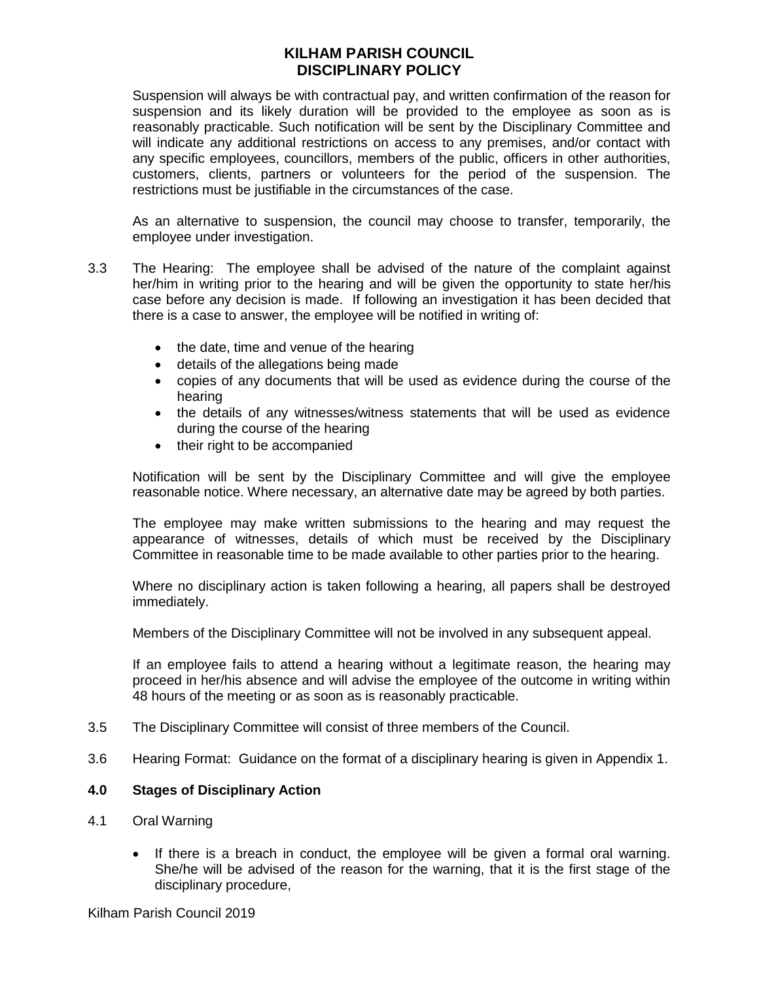Suspension will always be with contractual pay, and written confirmation of the reason for suspension and its likely duration will be provided to the employee as soon as is reasonably practicable. Such notification will be sent by the Disciplinary Committee and will indicate any additional restrictions on access to any premises, and/or contact with any specific employees, councillors, members of the public, officers in other authorities, customers, clients, partners or volunteers for the period of the suspension. The restrictions must be justifiable in the circumstances of the case.

As an alternative to suspension, the council may choose to transfer, temporarily, the employee under investigation.

- 3.3 The Hearing: The employee shall be advised of the nature of the complaint against her/him in writing prior to the hearing and will be given the opportunity to state her/his case before any decision is made. If following an investigation it has been decided that there is a case to answer, the employee will be notified in writing of:
	- the date, time and venue of the hearing
	- details of the allegations being made
	- copies of any documents that will be used as evidence during the course of the hearing
	- the details of any witnesses/witness statements that will be used as evidence during the course of the hearing
	- their right to be accompanied

Notification will be sent by the Disciplinary Committee and will give the employee reasonable notice. Where necessary, an alternative date may be agreed by both parties.

The employee may make written submissions to the hearing and may request the appearance of witnesses, details of which must be received by the Disciplinary Committee in reasonable time to be made available to other parties prior to the hearing.

Where no disciplinary action is taken following a hearing, all papers shall be destroyed immediately.

Members of the Disciplinary Committee will not be involved in any subsequent appeal.

If an employee fails to attend a hearing without a legitimate reason, the hearing may proceed in her/his absence and will advise the employee of the outcome in writing within 48 hours of the meeting or as soon as is reasonably practicable.

- 3.5 The Disciplinary Committee will consist of three members of the Council.
- 3.6 Hearing Format: Guidance on the format of a disciplinary hearing is given in Appendix 1.

## **4.0 Stages of Disciplinary Action**

- 4.1 Oral Warning
	- If there is a breach in conduct, the employee will be given a formal oral warning. She/he will be advised of the reason for the warning, that it is the first stage of the disciplinary procedure,

Kilham Parish Council 2019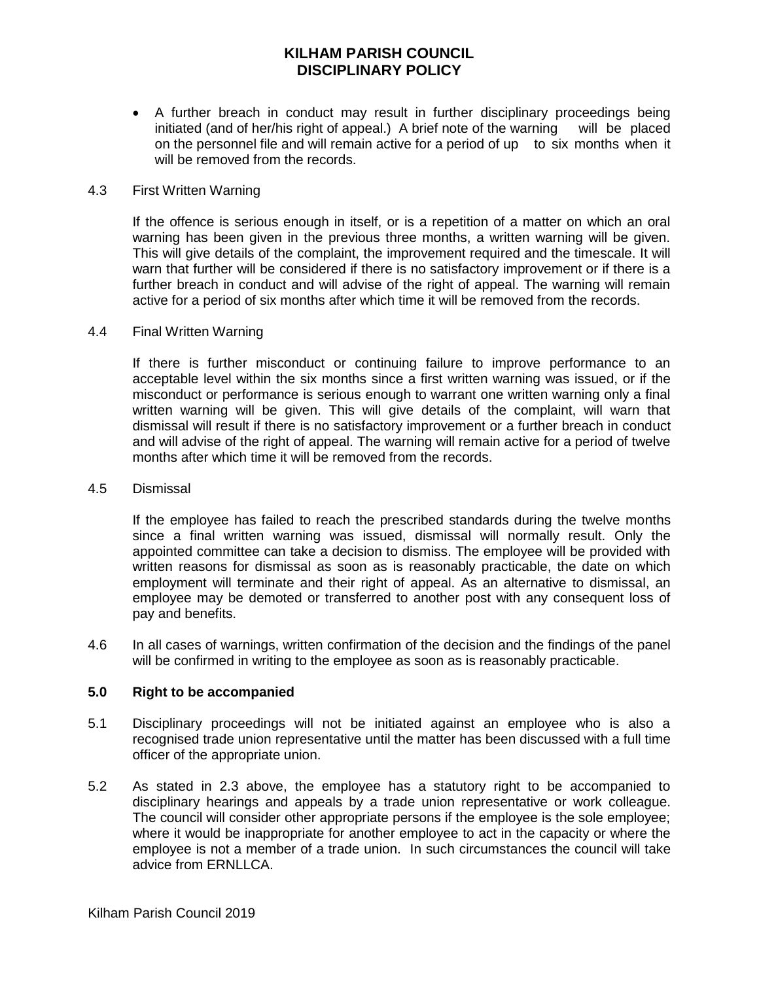• A further breach in conduct may result in further disciplinary proceedings being initiated (and of her/his right of appeal.) A brief note of the warning will be placed on the personnel file and will remain active for a period of up to six months when it will be removed from the records.

#### 4.3 First Written Warning

If the offence is serious enough in itself, or is a repetition of a matter on which an oral warning has been given in the previous three months, a written warning will be given. This will give details of the complaint, the improvement required and the timescale. It will warn that further will be considered if there is no satisfactory improvement or if there is a further breach in conduct and will advise of the right of appeal. The warning will remain active for a period of six months after which time it will be removed from the records.

#### 4.4 Final Written Warning

If there is further misconduct or continuing failure to improve performance to an acceptable level within the six months since a first written warning was issued, or if the misconduct or performance is serious enough to warrant one written warning only a final written warning will be given. This will give details of the complaint, will warn that dismissal will result if there is no satisfactory improvement or a further breach in conduct and will advise of the right of appeal. The warning will remain active for a period of twelve months after which time it will be removed from the records.

#### 4.5 Dismissal

If the employee has failed to reach the prescribed standards during the twelve months since a final written warning was issued, dismissal will normally result. Only the appointed committee can take a decision to dismiss. The employee will be provided with written reasons for dismissal as soon as is reasonably practicable, the date on which employment will terminate and their right of appeal. As an alternative to dismissal, an employee may be demoted or transferred to another post with any consequent loss of pay and benefits.

4.6 In all cases of warnings, written confirmation of the decision and the findings of the panel will be confirmed in writing to the employee as soon as is reasonably practicable.

## **5.0 Right to be accompanied**

- 5.1 Disciplinary proceedings will not be initiated against an employee who is also a recognised trade union representative until the matter has been discussed with a full time officer of the appropriate union.
- 5.2 As stated in 2.3 above, the employee has a statutory right to be accompanied to disciplinary hearings and appeals by a trade union representative or work colleague. The council will consider other appropriate persons if the employee is the sole employee; where it would be inappropriate for another employee to act in the capacity or where the employee is not a member of a trade union. In such circumstances the council will take advice from ERNLLCA.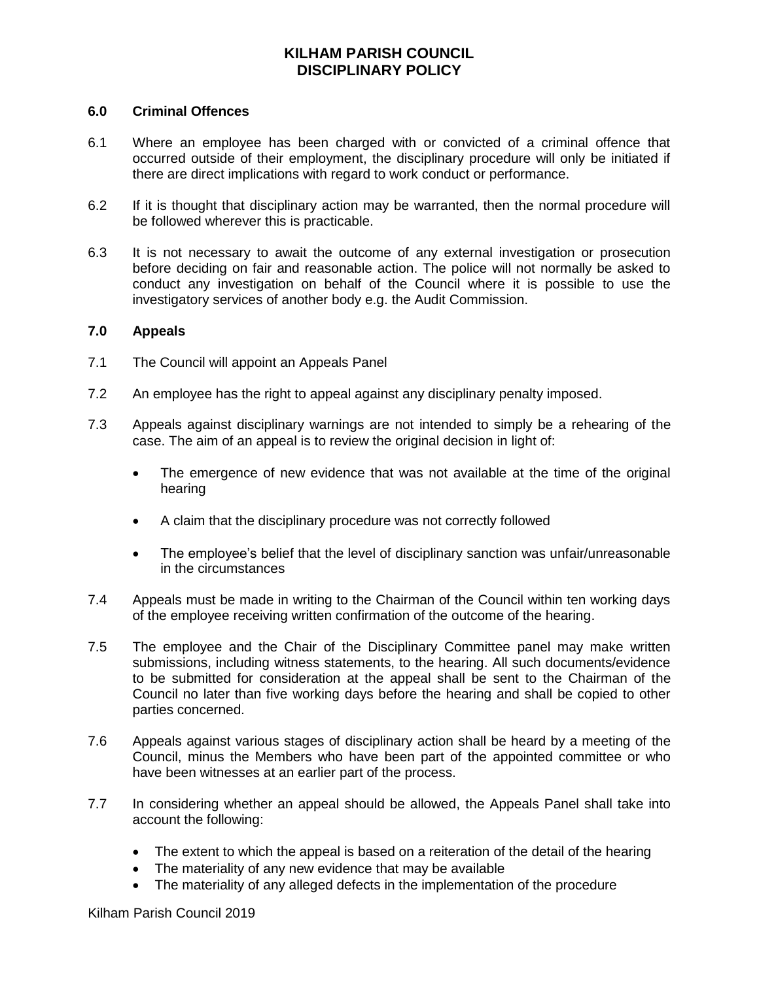#### **6.0 Criminal Offences**

- 6.1 Where an employee has been charged with or convicted of a criminal offence that occurred outside of their employment, the disciplinary procedure will only be initiated if there are direct implications with regard to work conduct or performance.
- 6.2 If it is thought that disciplinary action may be warranted, then the normal procedure will be followed wherever this is practicable.
- 6.3 It is not necessary to await the outcome of any external investigation or prosecution before deciding on fair and reasonable action. The police will not normally be asked to conduct any investigation on behalf of the Council where it is possible to use the investigatory services of another body e.g. the Audit Commission.

#### **7.0 Appeals**

- 7.1 The Council will appoint an Appeals Panel
- 7.2 An employee has the right to appeal against any disciplinary penalty imposed.
- 7.3 Appeals against disciplinary warnings are not intended to simply be a rehearing of the case. The aim of an appeal is to review the original decision in light of:
	- The emergence of new evidence that was not available at the time of the original hearing
	- A claim that the disciplinary procedure was not correctly followed
	- The employee's belief that the level of disciplinary sanction was unfair/unreasonable in the circumstances
- 7.4 Appeals must be made in writing to the Chairman of the Council within ten working days of the employee receiving written confirmation of the outcome of the hearing.
- 7.5 The employee and the Chair of the Disciplinary Committee panel may make written submissions, including witness statements, to the hearing. All such documents/evidence to be submitted for consideration at the appeal shall be sent to the Chairman of the Council no later than five working days before the hearing and shall be copied to other parties concerned.
- 7.6 Appeals against various stages of disciplinary action shall be heard by a meeting of the Council, minus the Members who have been part of the appointed committee or who have been witnesses at an earlier part of the process.
- 7.7 In considering whether an appeal should be allowed, the Appeals Panel shall take into account the following:
	- The extent to which the appeal is based on a reiteration of the detail of the hearing
	- The materiality of any new evidence that may be available
	- The materiality of any alleged defects in the implementation of the procedure

Kilham Parish Council 2019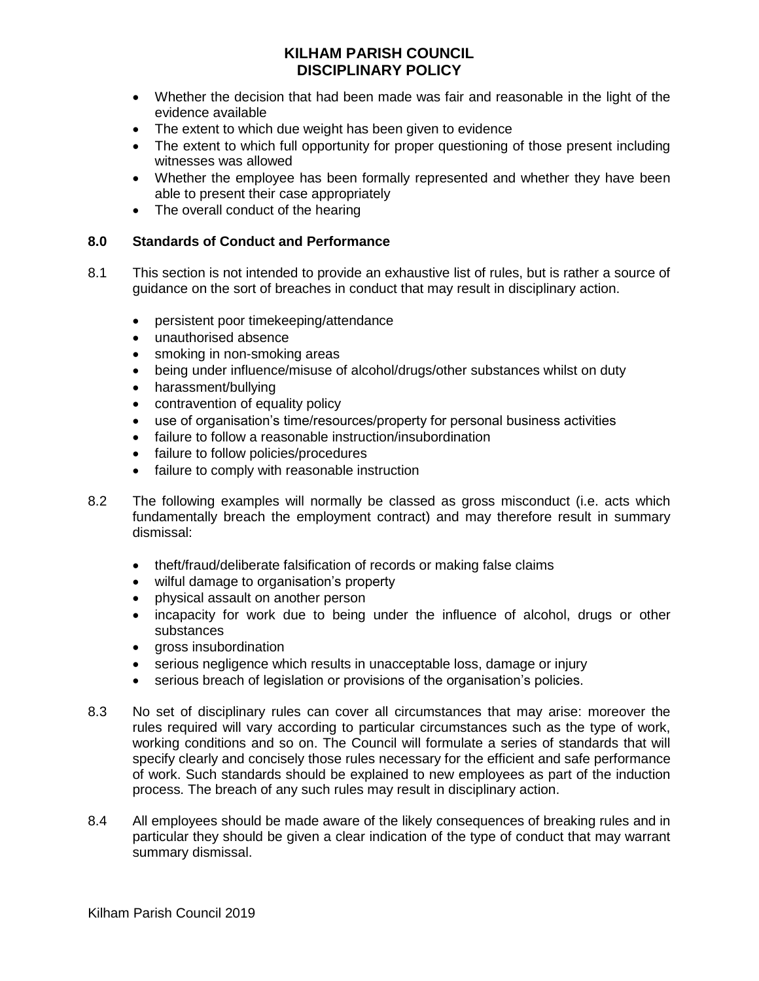- Whether the decision that had been made was fair and reasonable in the light of the evidence available
- The extent to which due weight has been given to evidence
- The extent to which full opportunity for proper questioning of those present including witnesses was allowed
- Whether the employee has been formally represented and whether they have been able to present their case appropriately
- The overall conduct of the hearing

## **8.0 Standards of Conduct and Performance**

- 8.1 This section is not intended to provide an exhaustive list of rules, but is rather a source of guidance on the sort of breaches in conduct that may result in disciplinary action.
	- persistent poor timekeeping/attendance
	- unauthorised absence
	- smoking in non-smoking areas
	- being under influence/misuse of alcohol/drugs/other substances whilst on duty
	- harassment/bullying
	- contravention of equality policy
	- use of organisation's time/resources/property for personal business activities
	- failure to follow a reasonable instruction/insubordination
	- failure to follow policies/procedures
	- failure to comply with reasonable instruction
- 8.2 The following examples will normally be classed as gross misconduct (i.e. acts which fundamentally breach the employment contract) and may therefore result in summary dismissal:
	- theft/fraud/deliberate falsification of records or making false claims
	- wilful damage to organisation's property
	- physical assault on another person
	- incapacity for work due to being under the influence of alcohol, drugs or other substances
	- gross insubordination
	- serious negligence which results in unacceptable loss, damage or injury
	- serious breach of legislation or provisions of the organisation's policies.
- 8.3 No set of disciplinary rules can cover all circumstances that may arise: moreover the rules required will vary according to particular circumstances such as the type of work, working conditions and so on. The Council will formulate a series of standards that will specify clearly and concisely those rules necessary for the efficient and safe performance of work. Such standards should be explained to new employees as part of the induction process. The breach of any such rules may result in disciplinary action.
- 8.4 All employees should be made aware of the likely consequences of breaking rules and in particular they should be given a clear indication of the type of conduct that may warrant summary dismissal.